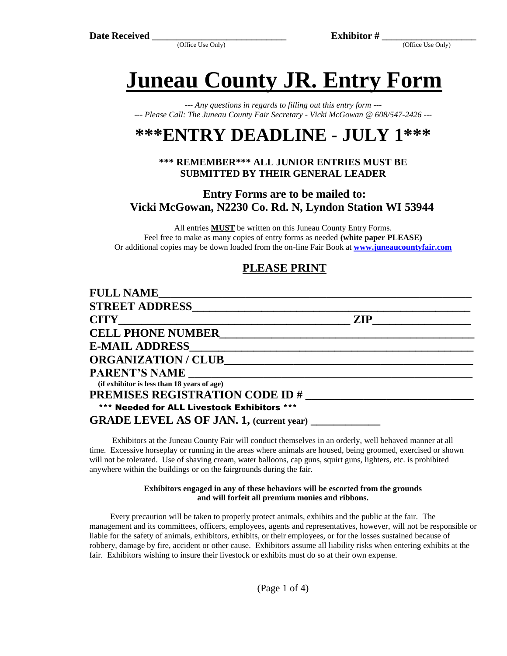(Office Use Only) (Office Use Only)

**Juneau County JR. Entry Form**

*--- Any questions in regards to filling out this entry form --- --- Please Call: The Juneau County Fair Secretary - Vicki McGowan @ 608/547-2426 ---*

# **\*\*\*ENTRY DEADLINE - JULY 1\*\*\***

#### **\*\*\* REMEMBER\*\*\* ALL JUNIOR ENTRIES MUST BE SUBMITTED BY THEIR GENERAL LEADER**

**Entry Forms are to be mailed to: Vicki McGowan, N2230 Co. Rd. N, Lyndon Station WI 53944**

All entries **MUST** be written on this Juneau County Entry Forms. Feel free to make as many copies of entry forms as needed **(white paper PLEASE)** Or additional copies may be down loaded from the on-line Fair Book at **[www.juneaucountyfair.com](http://www.juneaucountyfair.com/)**

### **PLEASE PRINT**

| <b>FULL NAME</b>                                |     |  |
|-------------------------------------------------|-----|--|
| <b>STREET ADDRESS</b>                           |     |  |
|                                                 | ZIP |  |
| <b>CELL PHONE NUMBER</b>                        |     |  |
| <b>E-MAIL ADDRESS</b>                           |     |  |
| <b>ORGANIZATION / CLUB______</b>                |     |  |
| <b>PARENT'S NAME</b> ______________             |     |  |
| (if exhibitor is less than 18 years of age)     |     |  |
| <b>PREMISES REGISTRATION CODE ID #</b>          |     |  |
| *** Needed for ALL Livestock Exhibitors ***     |     |  |
| <b>GRADE LEVEL AS OF JAN. 1, (current year)</b> |     |  |

 Exhibitors at the Juneau County Fair will conduct themselves in an orderly, well behaved manner at all time. Excessive horseplay or running in the areas where animals are housed, being groomed, exercised or shown will not be tolerated. Use of shaving cream, water balloons, cap guns, squirt guns, lighters, etc. is prohibited anywhere within the buildings or on the fairgrounds during the fair.

#### **Exhibitors engaged in any of these behaviors will be escorted from the grounds and will forfeit all premium monies and ribbons.**

 Every precaution will be taken to properly protect animals, exhibits and the public at the fair. The management and its committees, officers, employees, agents and representatives, however, will not be responsible or liable for the safety of animals, exhibitors, exhibits, or their employees, or for the losses sustained because of robbery, damage by fire, accident or other cause. Exhibitors assume all liability risks when entering exhibits at the fair. Exhibitors wishing to insure their livestock or exhibits must do so at their own expense.

(Page 1 of 4)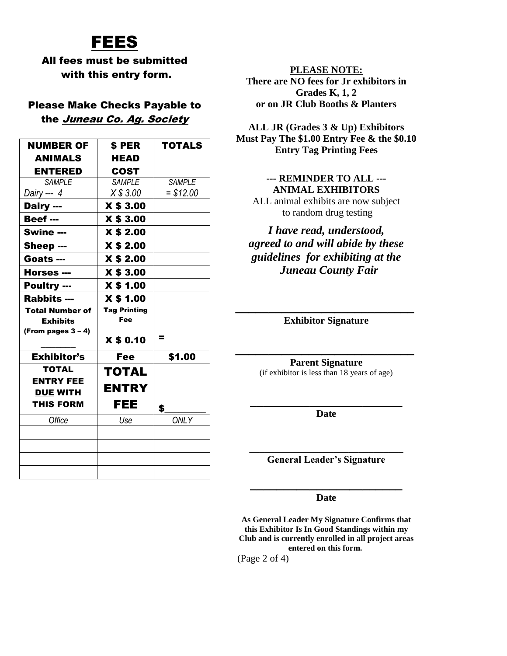## FEES

#### All fees must be submitted with this entry form.

#### Please Make Checks Payable to the Juneau Co. Ag. Society

| <b>NUMBER OF</b>       | <b>SPER</b>                | <b>TOTALS</b> |
|------------------------|----------------------------|---------------|
| <b>ANIMALS</b>         | <b>HEAD</b>                |               |
| <b>ENTERED</b>         | <b>COST</b>                |               |
| <b>SAMPLE</b>          | <b>SAMPLE</b>              | <b>SAMPLE</b> |
| Dairy --- 4            | X \$3.00                   | $= $12.00$    |
| Dairy ---              | X \$ 3.00                  |               |
| Beef ---               | <b>X \$ 3.00</b>           |               |
| Swine ---              | <b>X \$ 2.00</b>           |               |
| Sheep ---              | <b>X \$ 2.00</b>           |               |
| Goats ---              | <b>X \$ 2.00</b>           |               |
| Horses ---             | X \$ 3.00                  |               |
| <b>Poultry ---</b>     | <b>X \$ 1.00</b>           |               |
| <b>Rabbits ---</b>     | <b>X \$ 1.00</b>           |               |
| <b>Total Number of</b> | <b>Tag Printing</b><br>Fee |               |
| <b>Exhibits</b>        |                            |               |
| (From pages $3 - 4$ )  | <b>X \$ 0.10</b>           | =             |
| <b>Exhibitor's</b>     | <b>Fee</b>                 | \$1.00        |
| TOTAL                  | <b>TOTAL</b>               |               |
| <b>ENTRY FEE</b>       | <b>ENTRY</b>               |               |
| <b>DUE WITH</b>        |                            |               |
| <b>THIS FORM</b>       | FEE                        | \$            |
| Office                 | Use                        | <b>ONLY</b>   |
|                        |                            |               |
|                        |                            |               |
|                        |                            |               |
|                        |                            |               |
|                        |                            |               |

**PLEASE NOTE: There are NO fees for Jr exhibitors in Grades K, 1, 2 or on JR Club Booths & Planters**

**ALL JR (Grades 3 & Up) Exhibitors Must Pay The \$1.00 Entry Fee & the \$0.10 Entry Tag Printing Fees**

#### **--- REMINDER TO ALL --- ANIMAL EXHIBITORS**

ALL animal exhibits are now subject to random drug testing

*I have read, understood, agreed to and will abide by these guidelines for exhibiting at the Juneau County Fair* 

**\_\_\_\_\_\_\_\_\_\_\_\_\_\_\_\_\_\_\_\_\_\_\_\_\_\_\_ Exhibitor Signature**

> **Parent Signature**  (if exhibitor is less than 18 years of age)

**\_\_\_\_\_\_\_\_\_\_\_\_\_\_\_\_\_\_\_\_\_\_\_\_\_\_\_**

**\_\_\_\_\_\_\_\_\_\_\_\_\_\_\_\_\_\_\_\_\_\_\_ Date**

**\_\_\_\_\_\_\_\_\_\_\_\_\_\_\_\_\_\_\_\_\_\_\_\_\_\_\_\_\_\_\_ General Leader's Signature**

**\_\_\_\_\_\_\_\_\_\_\_\_\_\_\_\_\_\_\_\_\_\_\_ Date**

**As General Leader My Signature Confirms that this Exhibitor Is In Good Standings within my Club and is currently enrolled in all project areas entered on this form.**

(Page 2 of 4)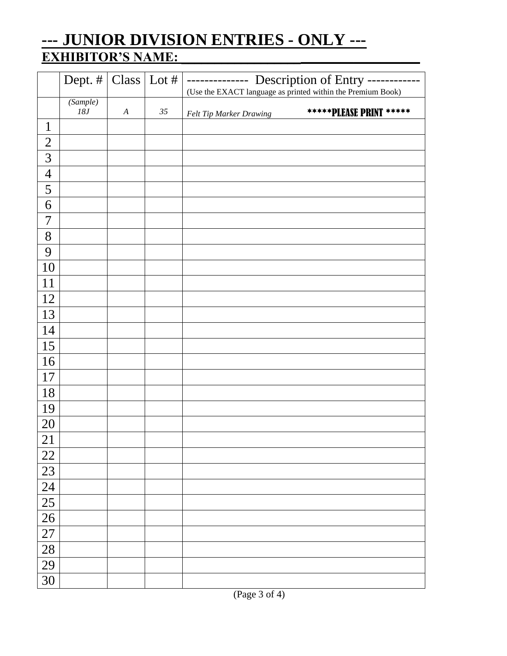### **--- JUNIOR DIVISION ENTRIES - ONLY --- EXHIBITOR'S NAME: \_\_\_\_\_\_\_\_\_\_\_\_\_\_\_\_\_\_\_\_\_\_\_\_\_\_\_\_\_\_\_\_\_\_\_\_**

|                 | Dept. #         | Class   Lot $#$  |        | Description of Entry -<br>------<br>$\frac{1}{2}$<br>(Use the EXACT language as printed within the Premium Book) |  |
|-----------------|-----------------|------------------|--------|------------------------------------------------------------------------------------------------------------------|--|
|                 | (Sample)<br>18J | $\boldsymbol{A}$ | $35\,$ | *****PLEASE PRINT *****<br>Felt Tip Marker Drawing                                                               |  |
| $\mathbf{1}$    |                 |                  |        |                                                                                                                  |  |
| $\overline{c}$  |                 |                  |        |                                                                                                                  |  |
| 3               |                 |                  |        |                                                                                                                  |  |
| $\overline{4}$  |                 |                  |        |                                                                                                                  |  |
| 5               |                 |                  |        |                                                                                                                  |  |
| 6               |                 |                  |        |                                                                                                                  |  |
| $\overline{7}$  |                 |                  |        |                                                                                                                  |  |
| $8\,$           |                 |                  |        |                                                                                                                  |  |
| 9               |                 |                  |        |                                                                                                                  |  |
| 10              |                 |                  |        |                                                                                                                  |  |
| 11              |                 |                  |        |                                                                                                                  |  |
| 12              |                 |                  |        |                                                                                                                  |  |
| 13              |                 |                  |        |                                                                                                                  |  |
| 14              |                 |                  |        |                                                                                                                  |  |
| 15              |                 |                  |        |                                                                                                                  |  |
| 16              |                 |                  |        |                                                                                                                  |  |
| 17              |                 |                  |        |                                                                                                                  |  |
| 18              |                 |                  |        |                                                                                                                  |  |
| 19              |                 |                  |        |                                                                                                                  |  |
| 20              |                 |                  |        |                                                                                                                  |  |
| 21              |                 |                  |        |                                                                                                                  |  |
| 22              |                 |                  |        |                                                                                                                  |  |
| 23              |                 |                  |        |                                                                                                                  |  |
| $\overline{24}$ |                 |                  |        |                                                                                                                  |  |
| $\overline{25}$ |                 |                  |        |                                                                                                                  |  |
| $\overline{26}$ |                 |                  |        |                                                                                                                  |  |
| $\overline{27}$ |                 |                  |        |                                                                                                                  |  |
| 28              |                 |                  |        |                                                                                                                  |  |
| $\overline{29}$ |                 |                  |        |                                                                                                                  |  |
| 30              |                 |                  |        |                                                                                                                  |  |